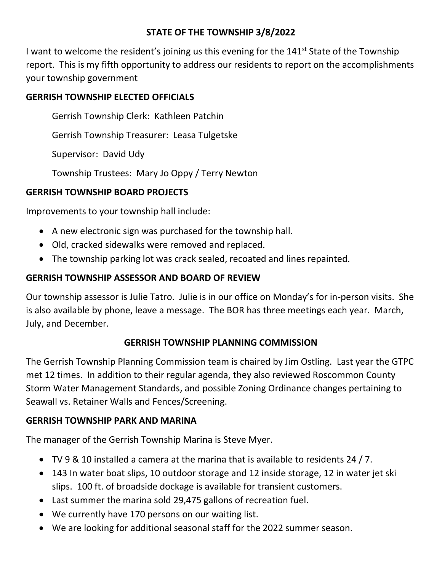### **STATE OF THE TOWNSHIP 3/8/2022**

I want to welcome the resident's joining us this evening for the 141<sup>st</sup> State of the Township report. This is my fifth opportunity to address our residents to report on the accomplishments your township government

### **GERRISH TOWNSHIP ELECTED OFFICIALS**

Gerrish Township Clerk: Kathleen Patchin

Gerrish Township Treasurer: Leasa Tulgetske

Supervisor: David Udy

Township Trustees: Mary Jo Oppy / Terry Newton

## **GERRISH TOWNSHIP BOARD PROJECTS**

Improvements to your township hall include:

- A new electronic sign was purchased for the township hall.
- Old, cracked sidewalks were removed and replaced.
- The township parking lot was crack sealed, recoated and lines repainted.

# **GERRISH TOWNSHIP ASSESSOR AND BOARD OF REVIEW**

Our township assessor is Julie Tatro. Julie is in our office on Monday's for in-person visits. She is also available by phone, leave a message. The BOR has three meetings each year. March, July, and December.

## **GERRISH TOWNSHIP PLANNING COMMISSION**

The Gerrish Township Planning Commission team is chaired by Jim Ostling. Last year the GTPC met 12 times. In addition to their regular agenda, they also reviewed Roscommon County Storm Water Management Standards, and possible Zoning Ordinance changes pertaining to Seawall vs. Retainer Walls and Fences/Screening.

## **GERRISH TOWNSHIP PARK AND MARINA**

The manager of the Gerrish Township Marina is Steve Myer.

- TV 9 & 10 installed a camera at the marina that is available to residents 24 / 7.
- 143 In water boat slips, 10 outdoor storage and 12 inside storage, 12 in water jet ski slips. 100 ft. of broadside dockage is available for transient customers.
- Last summer the marina sold 29,475 gallons of recreation fuel.
- We currently have 170 persons on our waiting list.
- We are looking for additional seasonal staff for the 2022 summer season.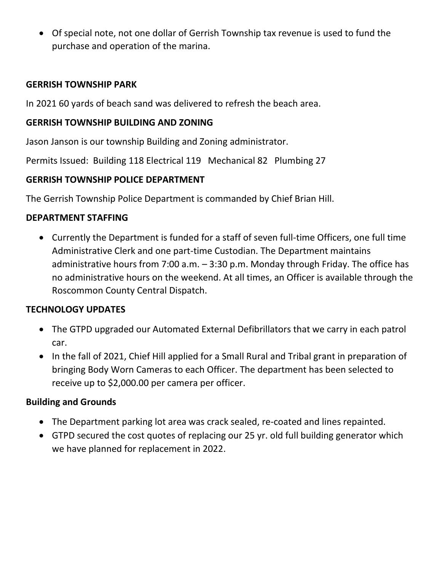• Of special note, not one dollar of Gerrish Township tax revenue is used to fund the purchase and operation of the marina.

#### **GERRISH TOWNSHIP PARK**

In 2021 60 yards of beach sand was delivered to refresh the beach area.

#### **GERRISH TOWNSHIP BUILDING AND ZONING**

Jason Janson is our township Building and Zoning administrator.

Permits Issued: Building 118 Electrical 119 Mechanical 82 Plumbing 27

#### **GERRISH TOWNSHIP POLICE DEPARTMENT**

The Gerrish Township Police Department is commanded by Chief Brian Hill.

#### **DEPARTMENT STAFFING**

• Currently the Department is funded for a staff of seven full-time Officers, one full time Administrative Clerk and one part-time Custodian. The Department maintains administrative hours from 7:00 a.m. – 3:30 p.m. Monday through Friday. The office has no administrative hours on the weekend. At all times, an Officer is available through the Roscommon County Central Dispatch.

#### **TECHNOLOGY UPDATES**

- The GTPD upgraded our Automated External Defibrillators that we carry in each patrol car.
- In the fall of 2021, Chief Hill applied for a Small Rural and Tribal grant in preparation of bringing Body Worn Cameras to each Officer. The department has been selected to receive up to \$2,000.00 per camera per officer.

#### **Building and Grounds**

- The Department parking lot area was crack sealed, re-coated and lines repainted.
- GTPD secured the cost quotes of replacing our 25 yr. old full building generator which we have planned for replacement in 2022.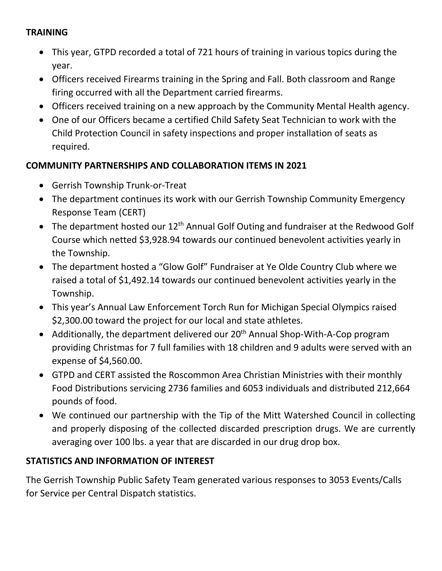### **TRAINING**

- This year, GTPD recorded a total of 721 hours of training in various topics during the year.
- Officers received Firearms training in the Spring and Fall. Both classroom and Range firing occurred with all the Department carried firearms.
- Officers received training on a new approach by the Community Mental Health agency.
- One of our Officers became a certified Child Safety Seat Technician to work with the Child Protection Council in safety inspections and proper installation of seats as required.

### **COMMUNITY PARTNERSHIPS AND COLLABORATION ITEMS IN 2021**

- Gerrish Township Trunk-or-Treat
- The department continues its work with our Gerrish Township Community Emergency Response Team (CERT)
- The department hosted our  $12<sup>th</sup>$  Annual Golf Outing and fundraiser at the Redwood Golf Course which netted \$3,928.94 towards our continued benevolent activities yearly in the Township.
- The department hosted a "Glow Golf" Fundraiser at Ye Olde Country Club where we raised a total of \$1,492.14 towards our continued benevolent activities yearly in the Township.
- This year's Annual Law Enforcement Torch Run for Michigan Special Olympics raised \$2,300.00 toward the project for our local and state athletes.
- Additionally, the department delivered our  $20<sup>th</sup>$  Annual Shop-With-A-Cop program providing Christmas for 7 full families with 18 children and 9 adults were served with an expense of \$4,560.00.
- GTPD and CERT assisted the Roscommon Area Christian Ministries with their monthly Food Distributions servicing 2736 families and 6053 individuals and distributed 212,664 pounds of food.
- We continued our partnership with the Tip of the Mitt Watershed Council in collecting and properly disposing of the collected discarded prescription drugs. We are currently averaging over 100 lbs. a year that are discarded in our drug drop box.

## **STATISTICS AND INFORMATION OF INTEREST**

The Gerrish Township Public Safety Team generated various responses to 3053 Events/Calls for Service per Central Dispatch statistics.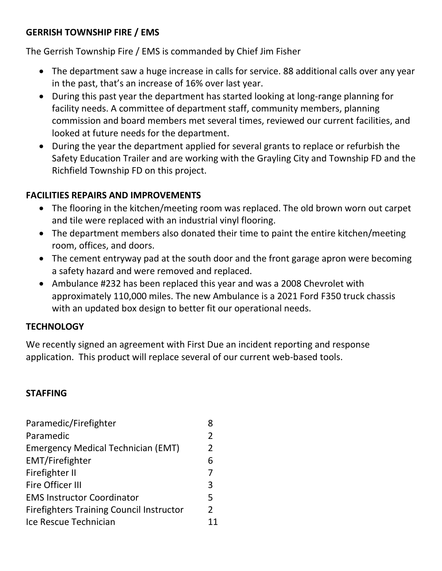### **GERRISH TOWNSHIP FIRE / EMS**

The Gerrish Township Fire / EMS is commanded by Chief Jim Fisher

- The department saw a huge increase in calls for service. 88 additional calls over any year in the past, that's an increase of 16% over last year.
- During this past year the department has started looking at long-range planning for facility needs. A committee of department staff, community members, planning commission and board members met several times, reviewed our current facilities, and looked at future needs for the department.
- During the year the department applied for several grants to replace or refurbish the Safety Education Trailer and are working with the Grayling City and Township FD and the Richfield Township FD on this project.

#### **FACILITIES REPAIRS AND IMPROVEMENTS**

- The flooring in the kitchen/meeting room was replaced. The old brown worn out carpet and tile were replaced with an industrial vinyl flooring.
- The department members also donated their time to paint the entire kitchen/meeting room, offices, and doors.
- The cement entryway pad at the south door and the front garage apron were becoming a safety hazard and were removed and replaced.
- Ambulance #232 has been replaced this year and was a 2008 Chevrolet with approximately 110,000 miles. The new Ambulance is a 2021 Ford F350 truck chassis with an updated box design to better fit our operational needs.

#### **TECHNOLOGY**

We recently signed an agreement with First Due an incident reporting and response application. This product will replace several of our current web-based tools.

#### **STAFFING**

| Paramedic/Firefighter                           |                |
|-------------------------------------------------|----------------|
| Paramedic                                       | 2              |
| <b>Emergency Medical Technician (EMT)</b>       | 2              |
| <b>EMT/Firefighter</b>                          | 6              |
| Firefighter II                                  | 7              |
| Fire Officer III                                | 3              |
| <b>EMS Instructor Coordinator</b>               | 5              |
| <b>Firefighters Training Council Instructor</b> | $\overline{2}$ |
| Ice Rescue Technician                           |                |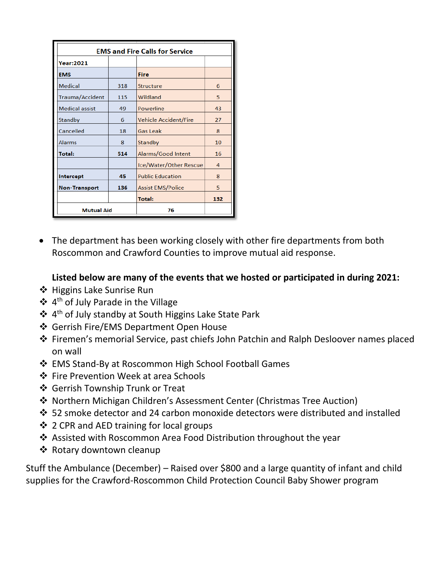| <b>EMS and Fire Calls for Service</b> |     |                              |     |
|---------------------------------------|-----|------------------------------|-----|
| <b>Year:2021</b>                      |     |                              |     |
| <b>EMS</b>                            |     | <b>Fire</b>                  |     |
| <b>Medical</b>                        | 318 | <b>Structure</b>             | 6   |
| Trauma/Accident                       | 115 | Wildland                     | 5   |
| <b>Medical assist</b>                 | 49  | Powerline                    | 43  |
| Standby                               | 6   | <b>Vehicle Accident/Fire</b> | 27  |
| Cancelled                             | 18  | Gas Leak                     | 8   |
| <b>Alarms</b>                         | 8   | Standby                      | 10  |
| <b>Total:</b>                         | 514 | Alarms/Good Intent           | 16  |
|                                       |     | Ice/Water/Other Rescue       | 4   |
| Intercept                             | 45  | <b>Public Education</b>      | 8   |
| <b>Non-Transport</b>                  | 136 | <b>Assist EMS/Police</b>     | 5   |
|                                       |     | <b>Total:</b>                | 132 |
| <b>Mutual Aid</b>                     |     | 76                           |     |

• The department has been working closely with other fire departments from both Roscommon and Crawford Counties to improve mutual aid response.

### **Listed below are many of the events that we hosted or participated in during 2021:**

- ❖ Higgins Lake Sunrise Run
- ❖ 4 th of July Parade in the Village
- ❖ 4 th of July standby at South Higgins Lake State Park
- ❖ Gerrish Fire/EMS Department Open House
- ❖ Firemen's memorial Service, past chiefs John Patchin and Ralph Desloover names placed on wall
- ❖ EMS Stand-By at Roscommon High School Football Games
- ❖ Fire Prevention Week at area Schools
- ❖ Gerrish Township Trunk or Treat
- ❖ Northern Michigan Children's Assessment Center (Christmas Tree Auction)
- ❖ 52 smoke detector and 24 carbon monoxide detectors were distributed and installed
- ❖ 2 CPR and AED training for local groups
- ❖ Assisted with Roscommon Area Food Distribution throughout the year
- ❖ Rotary downtown cleanup

Stuff the Ambulance (December) – Raised over \$800 and a large quantity of infant and child supplies for the Crawford-Roscommon Child Protection Council Baby Shower program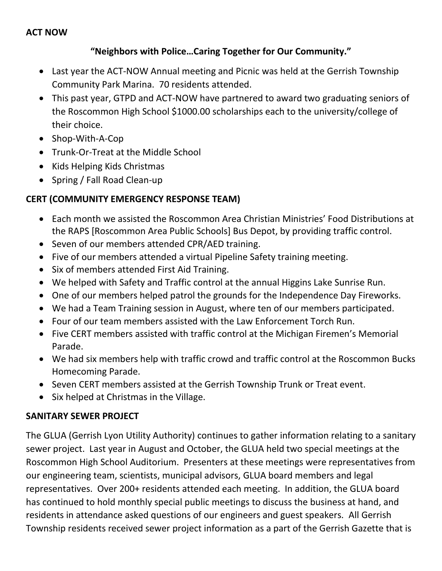#### **"Neighbors with Police…Caring Together for Our Community."**

- Last year the ACT-NOW Annual meeting and Picnic was held at the Gerrish Township Community Park Marina. 70 residents attended.
- This past year, GTPD and ACT-NOW have partnered to award two graduating seniors of the Roscommon High School \$1000.00 scholarships each to the university/college of their choice.
- Shop-With-A-Cop
- Trunk-Or-Treat at the Middle School
- Kids Helping Kids Christmas
- Spring / Fall Road Clean-up

### **CERT (COMMUNITY EMERGENCY RESPONSE TEAM)**

- Each month we assisted the Roscommon Area Christian Ministries' Food Distributions at the RAPS [Roscommon Area Public Schools] Bus Depot, by providing traffic control.
- Seven of our members attended CPR/AED training.
- Five of our members attended a virtual Pipeline Safety training meeting.
- Six of members attended First Aid Training.
- We helped with Safety and Traffic control at the annual Higgins Lake Sunrise Run.
- One of our members helped patrol the grounds for the Independence Day Fireworks.
- We had a Team Training session in August, where ten of our members participated.
- Four of our team members assisted with the Law Enforcement Torch Run.
- Five CERT members assisted with traffic control at the Michigan Firemen's Memorial Parade.
- We had six members help with traffic crowd and traffic control at the Roscommon Bucks Homecoming Parade.
- Seven CERT members assisted at the Gerrish Township Trunk or Treat event.
- Six helped at Christmas in the Village.

#### **SANITARY SEWER PROJECT**

The GLUA (Gerrish Lyon Utility Authority) continues to gather information relating to a sanitary sewer project. Last year in August and October, the GLUA held two special meetings at the Roscommon High School Auditorium. Presenters at these meetings were representatives from our engineering team, scientists, municipal advisors, GLUA board members and legal representatives. Over 200+ residents attended each meeting. In addition, the GLUA board has continued to hold monthly special public meetings to discuss the business at hand, and residents in attendance asked questions of our engineers and guest speakers. All Gerrish Township residents received sewer project information as a part of the Gerrish Gazette that is